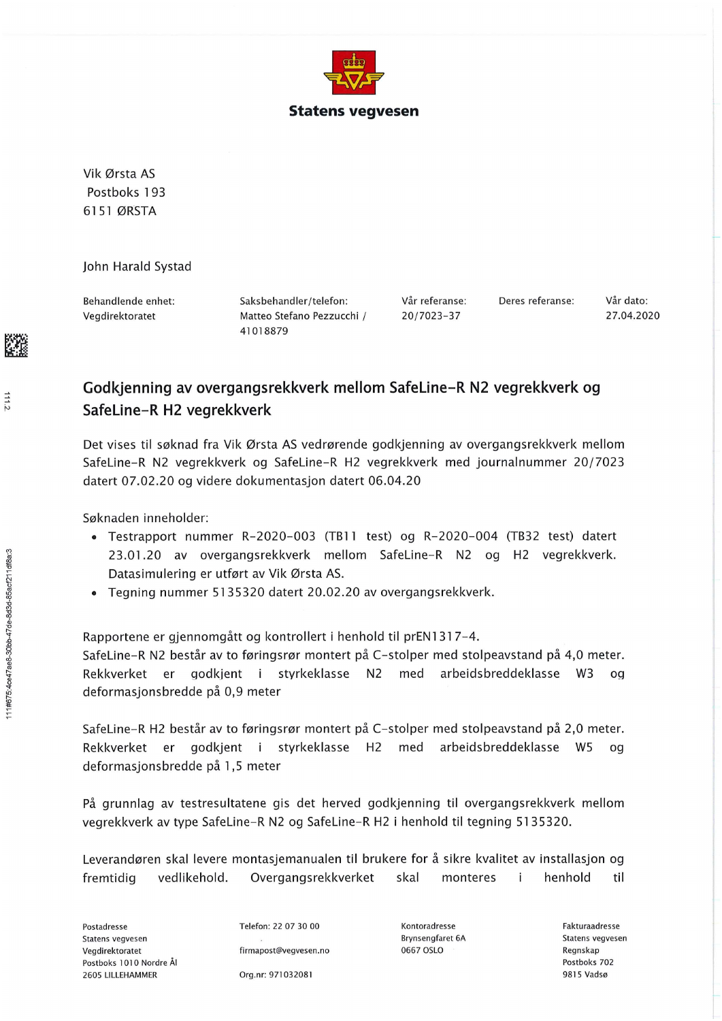

Vik Ørsta AS Postboks 193 6151 ØRSTA

John Harald Systad

Behandlende enhet: Vegdirektoratet

Saksbehandler/telefon: Matteo Stefano Pezzucchi / 41018879

Vår referanse: 20/7023-37

Deres referanse:

Vår dato: 27.04.2020

## Godkjenning av overgangsrekkverk mellom SafeLine-R N2 vegrekkverk og SafeLine-R H2 vegrekkverk

Det vises til søknad fra Vik Ørsta AS vedrørende godkjenning av overgangsrekkverk mellom SafeLine-R N2 vegrekkverk og SafeLine-R H2 vegrekkverk med journalnummer 20/7023 datert 07.02.20 og videre dokumentasjon datert 06.04.20

Søknaden inneholder:

- · Testrapport nummer R-2020-003 (TB11 test) og R-2020-004 (TB32 test) datert 23.01.20 av overgangsrekkverk mellom SafeLine-R N2 og H2 vegrekkverk. Datasimulering er utført av Vik Ørsta AS.
- Tegning nummer 5135320 datert 20.02.20 av overgangsrekkverk.

Rapportene er gjennomgått og kontrollert i henhold til prEN1317-4. SafeLine-R N2 består av to føringsrør montert på C-stolper med stolpeavstand på 4,0 meter. godkient i styrkeklasse N2 med arbeidsbreddeklasse W3 Rekkverket er  $0<sup>d</sup>$ deformasionsbredde på 0.9 meter

SafeLine-R H2 består av to føringsrør montert på C-stolper med stolpeavstand på 2,0 meter. Rekkverket er godkjent i styrkeklasse H2 med arbeidsbreddeklasse W5 og deformasjonsbredde på 1,5 meter

På grunnlag av testresultatene gis det herved godkjenning til overgangsrekkverk mellom vegrekkverk av type SafeLine-R N2 og SafeLine-R H2 i henhold til tegning 5135320.

Leverandøren skal levere montasjemanualen til brukere for å sikre kvalitet av installasjon og Overgangsrekkverket henhold fremtidig vedlikehold. skal monteres i til

Statens vegvesen Postboks 1010 Nordre Ål 2605 LILLEHAMMER

Telefon: 22 07 30 00 firmapost@vegvesen.no

Kontoradresse **Brynsengfaret 6A** 0667 OSLO

Fakturaadresse Statens vegvesen Regnskap Postboks 702 9815 Vadsø

Postadresse Vegdirektoratet

Org.nr: 971032081

 $111.2$